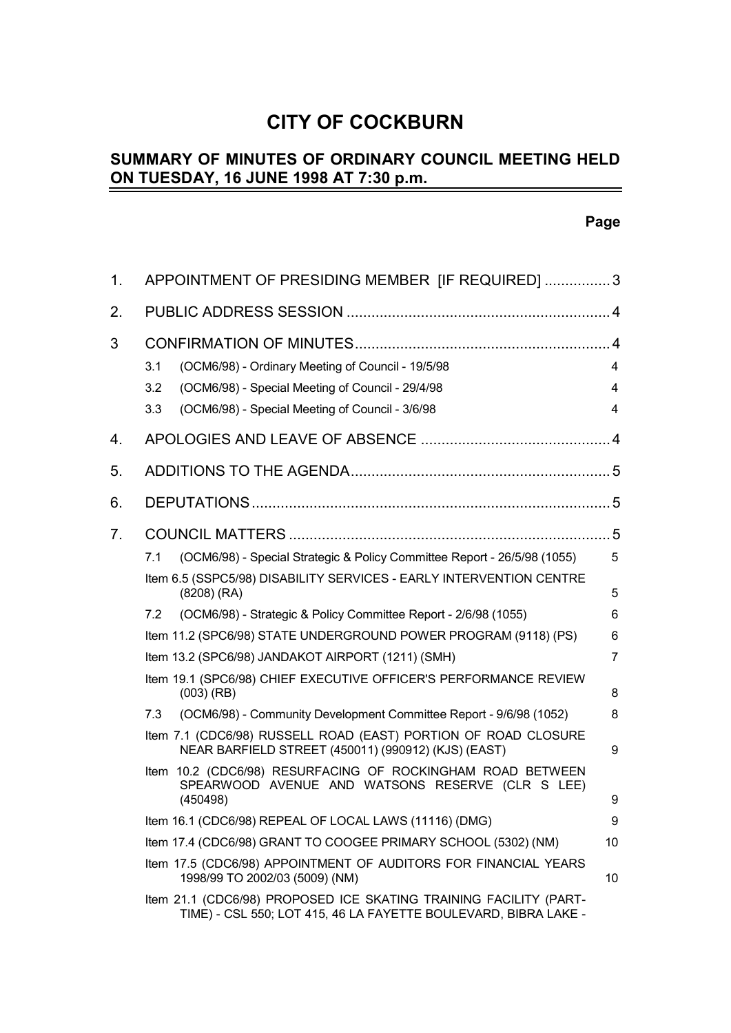# **CITY OF COCKBURN**

#### **SUMMARY OF MINUTES OF ORDINARY COUNCIL MEETING HELD ON TUESDAY, 16 JUNE 1998 AT 7:30 p.m.**  $\overline{a}$

# **Page**

| 1. | APPOINTMENT OF PRESIDING MEMBER [IF REQUIRED] 3                                                                                                                               |             |  |  |  |
|----|-------------------------------------------------------------------------------------------------------------------------------------------------------------------------------|-------------|--|--|--|
| 2. |                                                                                                                                                                               |             |  |  |  |
| 3  | (OCM6/98) - Ordinary Meeting of Council - 19/5/98<br>3.1<br>(OCM6/98) - Special Meeting of Council - 29/4/98<br>3.2<br>(OCM6/98) - Special Meeting of Council - 3/6/98<br>3.3 | 4<br>4<br>4 |  |  |  |
| 4. |                                                                                                                                                                               |             |  |  |  |
| 5. |                                                                                                                                                                               |             |  |  |  |
| 6. |                                                                                                                                                                               |             |  |  |  |
| 7. |                                                                                                                                                                               |             |  |  |  |
|    | (OCM6/98) - Special Strategic & Policy Committee Report - 26/5/98 (1055)<br>7.1                                                                                               | 5           |  |  |  |
|    | Item 6.5 (SSPC5/98) DISABILITY SERVICES - EARLY INTERVENTION CENTRE<br>$(8208)$ (RA)                                                                                          | 5           |  |  |  |
|    | (OCM6/98) - Strategic & Policy Committee Report - 2/6/98 (1055)<br>7.2                                                                                                        | 6           |  |  |  |
|    | Item 11.2 (SPC6/98) STATE UNDERGROUND POWER PROGRAM (9118) (PS)                                                                                                               | 6           |  |  |  |
|    | Item 13.2 (SPC6/98) JANDAKOT AIRPORT (1211) (SMH)                                                                                                                             | 7           |  |  |  |
|    | Item 19.1 (SPC6/98) CHIEF EXECUTIVE OFFICER'S PERFORMANCE REVIEW<br>$(003)$ (RB)                                                                                              | 8           |  |  |  |
|    | (OCM6/98) - Community Development Committee Report - 9/6/98 (1052)<br>7.3                                                                                                     | 8           |  |  |  |
|    | Item 7.1 (CDC6/98) RUSSELL ROAD (EAST) PORTION OF ROAD CLOSURE<br>NEAR BARFIELD STREET (450011) (990912) (KJS) (EAST)                                                         | 9           |  |  |  |
|    | Item 10.2 (CDC6/98) RESURFACING OF ROCKINGHAM ROAD BETWEEN<br>SPEARWOOD AVENUE AND WATSONS RESERVE (CLR S LEE)<br>(450498)                                                    | 9           |  |  |  |
|    | Item 16.1 (CDC6/98) REPEAL OF LOCAL LAWS (11116) (DMG)                                                                                                                        | 9           |  |  |  |
|    | Item 17.4 (CDC6/98) GRANT TO COOGEE PRIMARY SCHOOL (5302) (NM)                                                                                                                | 10          |  |  |  |
|    | Item 17.5 (CDC6/98) APPOINTMENT OF AUDITORS FOR FINANCIAL YEARS<br>1998/99 TO 2002/03 (5009) (NM)                                                                             | 10          |  |  |  |
|    | Item 21.1 (CDC6/98) PROPOSED ICE SKATING TRAINING FACILITY (PART-<br>TIME) - CSL 550; LOT 415, 46 LA FAYETTE BOULEVARD, BIBRA LAKE -                                          |             |  |  |  |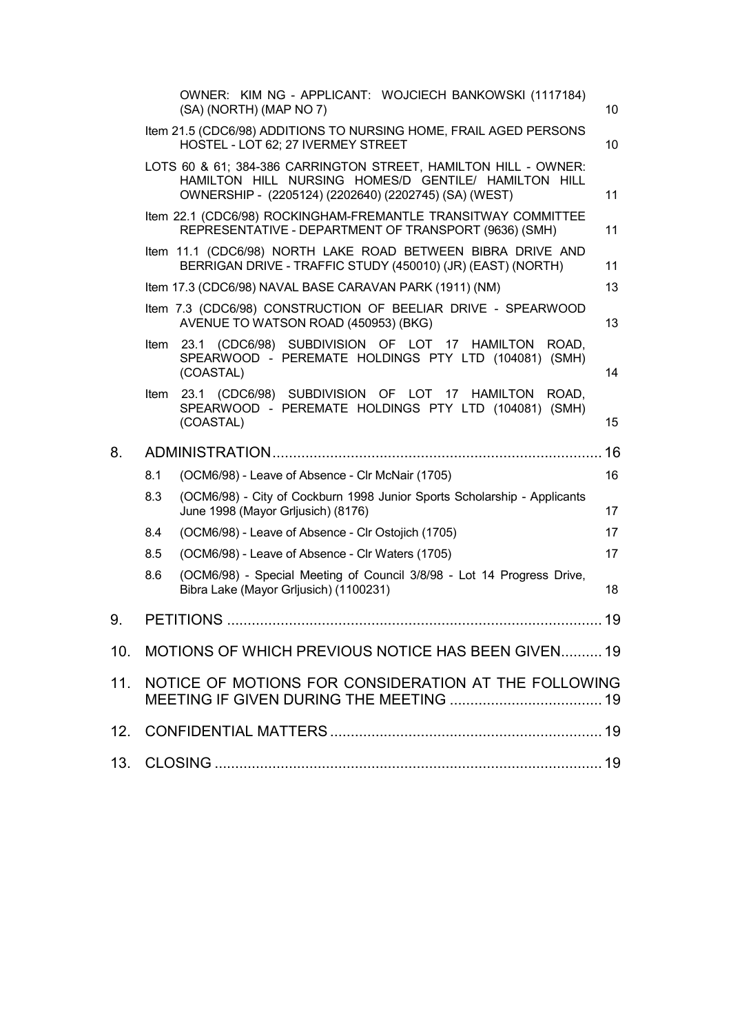|     |     | OWNER: KIM NG - APPLICANT: WOJCIECH BANKOWSKI (1117184)<br>(SA) (NORTH) (MAP NO 7)                                                                                               | 10 |  |  |
|-----|-----|----------------------------------------------------------------------------------------------------------------------------------------------------------------------------------|----|--|--|
|     |     | Item 21.5 (CDC6/98) ADDITIONS TO NURSING HOME, FRAIL AGED PERSONS<br>HOSTEL - LOT 62; 27 IVERMEY STREET                                                                          | 10 |  |  |
|     |     | LOTS 60 & 61; 384-386 CARRINGTON STREET, HAMILTON HILL - OWNER:<br>HAMILTON HILL NURSING HOMES/D GENTILE/ HAMILTON HILL<br>OWNERSHIP - (2205124) (2202640) (2202745) (SA) (WEST) | 11 |  |  |
|     |     | Item 22.1 (CDC6/98) ROCKINGHAM-FREMANTLE TRANSITWAY COMMITTEE<br>REPRESENTATIVE - DEPARTMENT OF TRANSPORT (9636) (SMH)                                                           | 11 |  |  |
|     |     | Item 11.1 (CDC6/98) NORTH LAKE ROAD BETWEEN BIBRA DRIVE AND<br>BERRIGAN DRIVE - TRAFFIC STUDY (450010) (JR) (EAST) (NORTH)                                                       | 11 |  |  |
|     |     | Item 17.3 (CDC6/98) NAVAL BASE CARAVAN PARK (1911) (NM)                                                                                                                          | 13 |  |  |
|     |     | Item 7.3 (CDC6/98) CONSTRUCTION OF BEELIAR DRIVE - SPEARWOOD<br>AVENUE TO WATSON ROAD (450953) (BKG)                                                                             | 13 |  |  |
|     |     | Item 23.1 (CDC6/98) SUBDIVISION OF LOT 17 HAMILTON ROAD.<br>SPEARWOOD - PEREMATE HOLDINGS PTY LTD (104081) (SMH)<br>(COASTAL)                                                    | 14 |  |  |
|     |     | Item 23.1 (CDC6/98) SUBDIVISION OF LOT 17 HAMILTON ROAD,<br>SPEARWOOD - PEREMATE HOLDINGS PTY LTD (104081) (SMH)<br>(COASTAL)                                                    | 15 |  |  |
| 8.  |     |                                                                                                                                                                                  |    |  |  |
|     | 8.1 |                                                                                                                                                                                  |    |  |  |
|     |     | (OCM6/98) - Leave of Absence - Clr McNair (1705)                                                                                                                                 | 16 |  |  |
|     | 8.3 | (OCM6/98) - City of Cockburn 1998 Junior Sports Scholarship - Applicants<br>June 1998 (Mayor Grljusich) (8176)                                                                   | 17 |  |  |
|     | 8.4 | (OCM6/98) - Leave of Absence - Clr Ostojich (1705)                                                                                                                               | 17 |  |  |
|     | 8.5 | (OCM6/98) - Leave of Absence - Clr Waters (1705)                                                                                                                                 | 17 |  |  |
|     | 8.6 | (OCM6/98) - Special Meeting of Council 3/8/98 - Lot 14 Progress Drive,<br>Bibra Lake (Mayor Grljusich) (1100231)                                                                 | 18 |  |  |
| 9.  |     |                                                                                                                                                                                  | 19 |  |  |
|     |     | 10. MOTIONS OF WHICH PREVIOUS NOTICE HAS BEEN GIVEN 19                                                                                                                           |    |  |  |
| 11. |     | NOTICE OF MOTIONS FOR CONSIDERATION AT THE FOLLOWING                                                                                                                             |    |  |  |
| 12. |     |                                                                                                                                                                                  |    |  |  |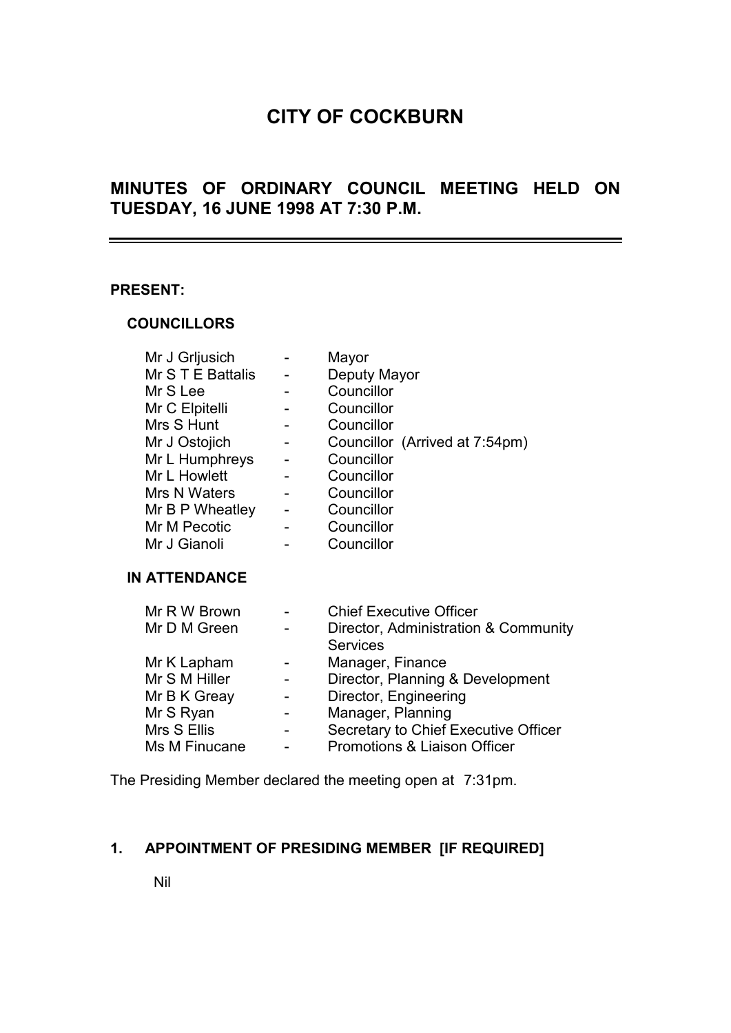# **CITY OF COCKBURN**

# **MINUTES OF ORDINARY COUNCIL MEETING HELD ON TUESDAY, 16 JUNE 1998 AT 7:30 P.M.**

#### **PRESENT:**

#### **COUNCILLORS**

| Mr J Grljusich    | Mayor                          |
|-------------------|--------------------------------|
| Mr S T E Battalis | Deputy Mayor                   |
| Mr S Lee          | Councillor                     |
| Mr C Elpitelli    | Councillor                     |
| Mrs S Hunt        | Councillor                     |
| Mr J Ostojich     | Councillor (Arrived at 7:54pm) |
| Mr L Humphreys    | Councillor                     |
| Mr L Howlett      | Councillor                     |
| Mrs N Waters      | Councillor                     |
| Mr B P Wheatley   | Councillor                     |
| Mr M Pecotic      | Councillor                     |
| Mr J Gianoli      | Councillor                     |

#### **IN ATTENDANCE**

| Mr R W Brown  |                          | <b>Chief Executive Officer</b>       |
|---------------|--------------------------|--------------------------------------|
| Mr D M Green  | $\overline{\phantom{0}}$ | Director, Administration & Community |
|               |                          | <b>Services</b>                      |
| Mr K Lapham   |                          | Manager, Finance                     |
| Mr S M Hiller |                          | Director, Planning & Development     |
| Mr B K Greay  |                          | Director, Engineering                |
| Mr S Ryan     |                          | Manager, Planning                    |
| Mrs S Ellis   | -                        | Secretary to Chief Executive Officer |
| Ms M Finucane | $\overline{a}$           | Promotions & Liaison Officer         |

The Presiding Member declared the meeting open at 7:31pm.

# **1. APPOINTMENT OF PRESIDING MEMBER [IF REQUIRED]**

Nil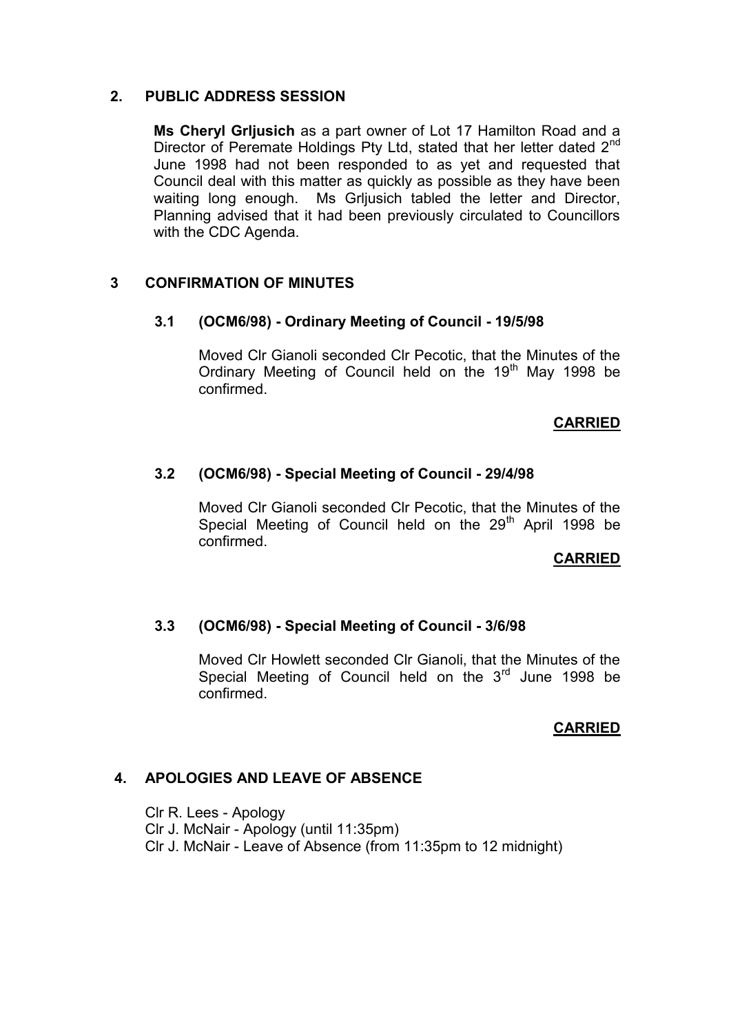## **2. PUBLIC ADDRESS SESSION**

**Ms Cheryl Grljusich** as a part owner of Lot 17 Hamilton Road and a Director of Peremate Holdings Pty Ltd, stated that her letter dated 2<sup>nd</sup> June 1998 had not been responded to as yet and requested that Council deal with this matter as quickly as possible as they have been waiting long enough. Ms Grljusich tabled the letter and Director, Planning advised that it had been previously circulated to Councillors with the CDC Agenda.

## **3 CONFIRMATION OF MINUTES**

### **3.1 (OCM6/98) - Ordinary Meeting of Council - 19/5/98**

Moved Clr Gianoli seconded Clr Pecotic, that the Minutes of the Ordinary Meeting of Council held on the 19<sup>th</sup> May 1998 be confirmed.

### **CARRIED**

## **3.2 (OCM6/98) - Special Meeting of Council - 29/4/98**

Moved Clr Gianoli seconded Clr Pecotic, that the Minutes of the Special Meeting of Council held on the  $29<sup>th</sup>$  April 1998 be confirmed.

### **CARRIED**

### **3.3 (OCM6/98) - Special Meeting of Council - 3/6/98**

Moved Clr Howlett seconded Clr Gianoli, that the Minutes of the Special Meeting of Council held on the  $3<sup>rd</sup>$  June 1998 be confirmed.

# **CARRIED**

# **4. APOLOGIES AND LEAVE OF ABSENCE**

Clr R. Lees - Apology Clr J. McNair - Apology (until 11:35pm) Clr J. McNair - Leave of Absence (from 11:35pm to 12 midnight)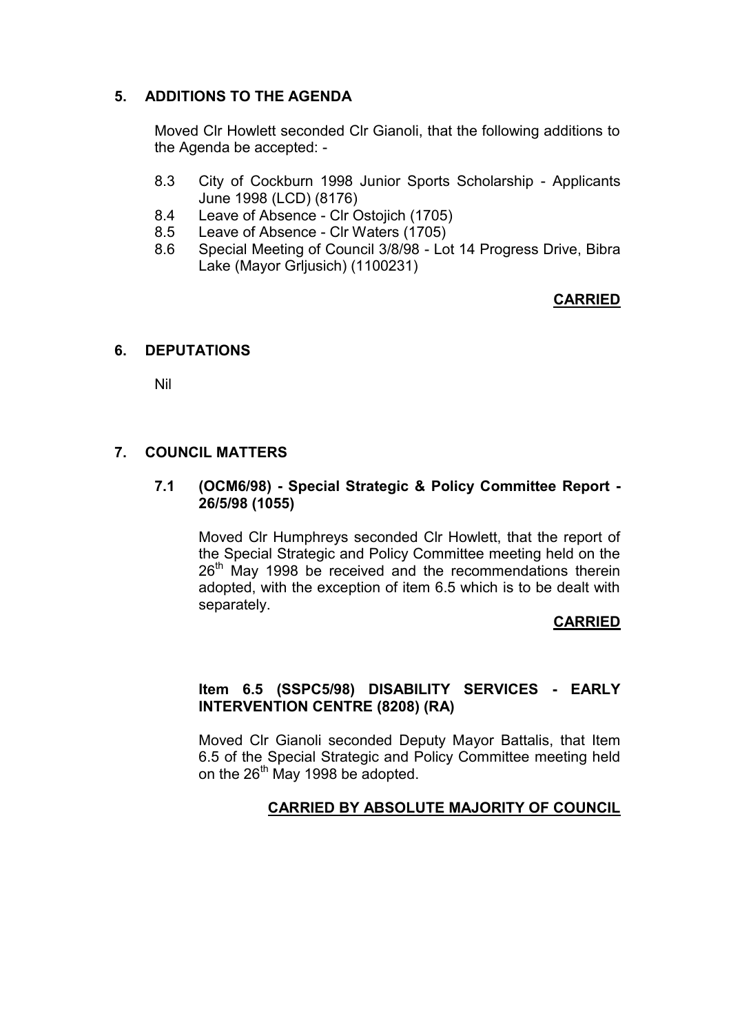# **5. ADDITIONS TO THE AGENDA**

Moved Clr Howlett seconded Clr Gianoli, that the following additions to the Agenda be accepted: -

- 8.3 City of Cockburn 1998 Junior Sports Scholarship Applicants June 1998 (LCD) (8176)
- 8.4 Leave of Absence Clr Ostojich (1705)
- 8.5 Leave of Absence Clr Waters (1705)<br>8.6 Special Meeting of Council 3/8/98 Lo
- Special Meeting of Council 3/8/98 Lot 14 Progress Drive, Bibra Lake (Mayor Grljusich) (1100231)

# **CARRIED**

## **6. DEPUTATIONS**

Nil

## **7. COUNCIL MATTERS**

## **7.1 (OCM6/98) - Special Strategic & Policy Committee Report - 26/5/98 (1055)**

Moved Clr Humphreys seconded Clr Howlett, that the report of the Special Strategic and Policy Committee meeting held on the  $26<sup>th</sup>$  May 1998 be received and the recommendations therein adopted, with the exception of item 6.5 which is to be dealt with separately.

### **CARRIED**

## **Item 6.5 (SSPC5/98) DISABILITY SERVICES - EARLY INTERVENTION CENTRE (8208) (RA)**

Moved Clr Gianoli seconded Deputy Mayor Battalis, that Item 6.5 of the Special Strategic and Policy Committee meeting held on the 26<sup>th</sup> May 1998 be adopted.

# **CARRIED BY ABSOLUTE MAJORITY OF COUNCIL**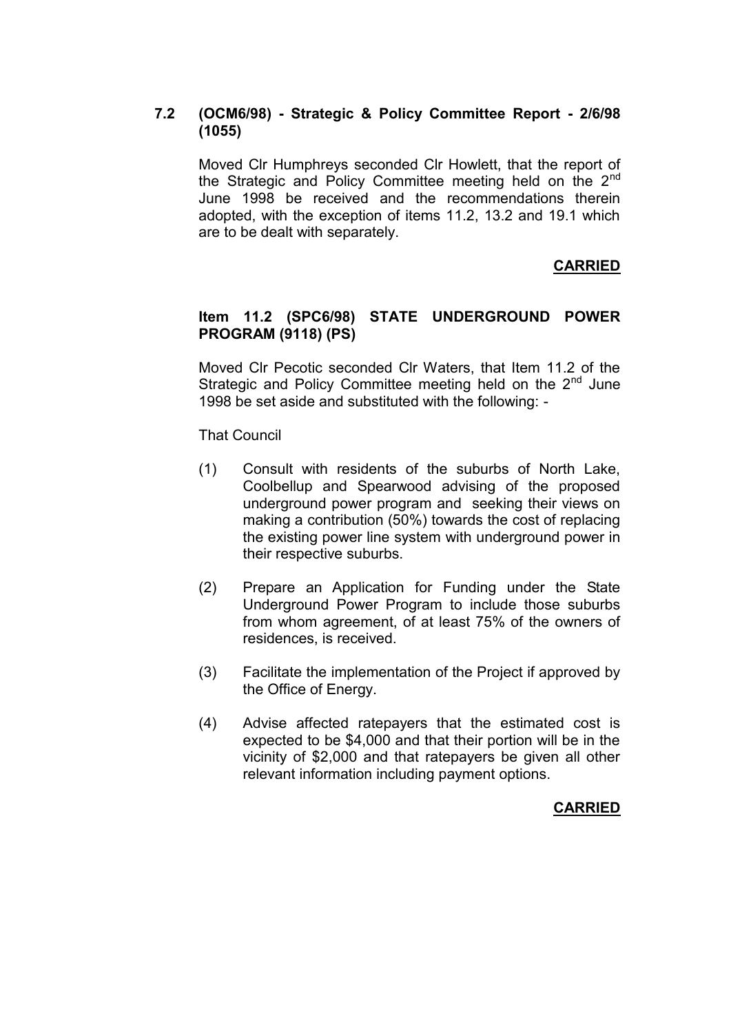# **7.2 (OCM6/98) - Strategic & Policy Committee Report - 2/6/98 (1055)**

Moved Clr Humphreys seconded Clr Howlett, that the report of the Strategic and Policy Committee meeting held on the  $2<sup>nd</sup>$ June 1998 be received and the recommendations therein adopted, with the exception of items 11.2, 13.2 and 19.1 which are to be dealt with separately.

# **CARRIED**

## **Item 11.2 (SPC6/98) STATE UNDERGROUND POWER PROGRAM (9118) (PS)**

Moved Clr Pecotic seconded Clr Waters, that Item 11.2 of the Strategic and Policy Committee meeting held on the  $2<sup>nd</sup>$  June 1998 be set aside and substituted with the following: -

That Council

- (1) Consult with residents of the suburbs of North Lake, Coolbellup and Spearwood advising of the proposed underground power program and seeking their views on making a contribution (50%) towards the cost of replacing the existing power line system with underground power in their respective suburbs.
- (2) Prepare an Application for Funding under the State Underground Power Program to include those suburbs from whom agreement, of at least 75% of the owners of residences, is received.
- (3) Facilitate the implementation of the Project if approved by the Office of Energy.
- (4) Advise affected ratepayers that the estimated cost is expected to be \$4,000 and that their portion will be in the vicinity of \$2,000 and that ratepayers be given all other relevant information including payment options.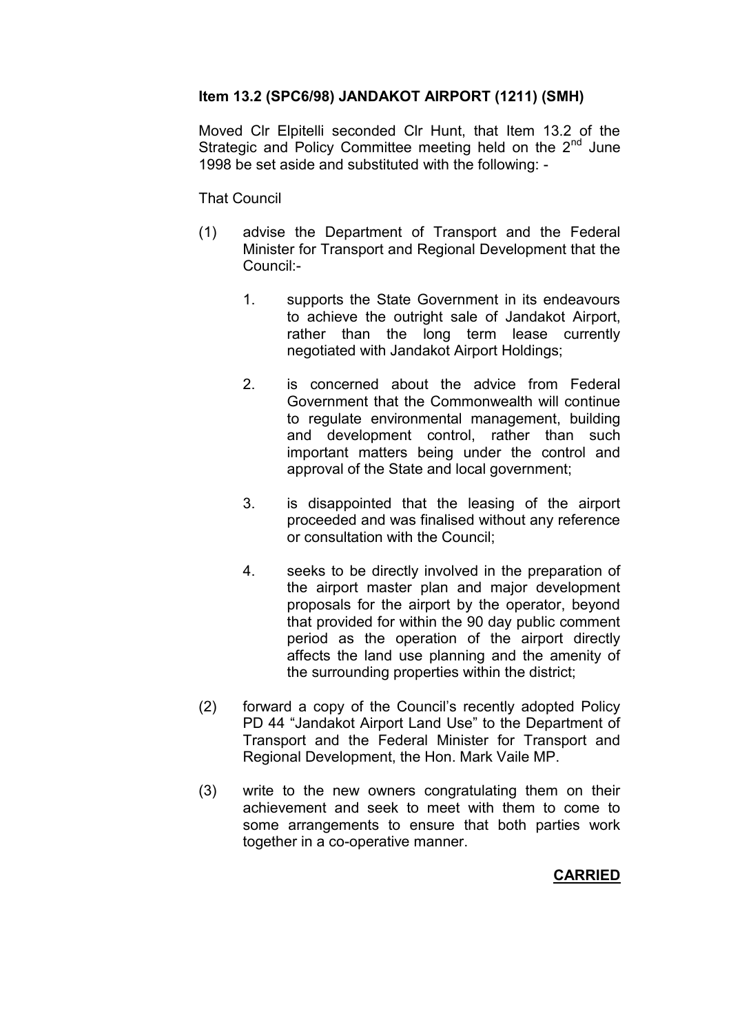## **Item 13.2 (SPC6/98) JANDAKOT AIRPORT (1211) (SMH)**

Moved Clr Elpitelli seconded Clr Hunt, that Item 13.2 of the Strategic and Policy Committee meeting held on the  $2<sup>nd</sup>$  June 1998 be set aside and substituted with the following: -

#### That Council

- (1) advise the Department of Transport and the Federal Minister for Transport and Regional Development that the Council:-
	- 1. supports the State Government in its endeavours to achieve the outright sale of Jandakot Airport, rather than the long term lease currently negotiated with Jandakot Airport Holdings;
	- 2. is concerned about the advice from Federal Government that the Commonwealth will continue to regulate environmental management, building and development control, rather than such important matters being under the control and approval of the State and local government;
	- 3. is disappointed that the leasing of the airport proceeded and was finalised without any reference or consultation with the Council;
	- 4. seeks to be directly involved in the preparation of the airport master plan and major development proposals for the airport by the operator, beyond that provided for within the 90 day public comment period as the operation of the airport directly affects the land use planning and the amenity of the surrounding properties within the district;
- (2) forward a copy of the Council's recently adopted Policy PD 44 "Jandakot Airport Land Use" to the Department of Transport and the Federal Minister for Transport and Regional Development, the Hon. Mark Vaile MP.
- (3) write to the new owners congratulating them on their achievement and seek to meet with them to come to some arrangements to ensure that both parties work together in a co-operative manner.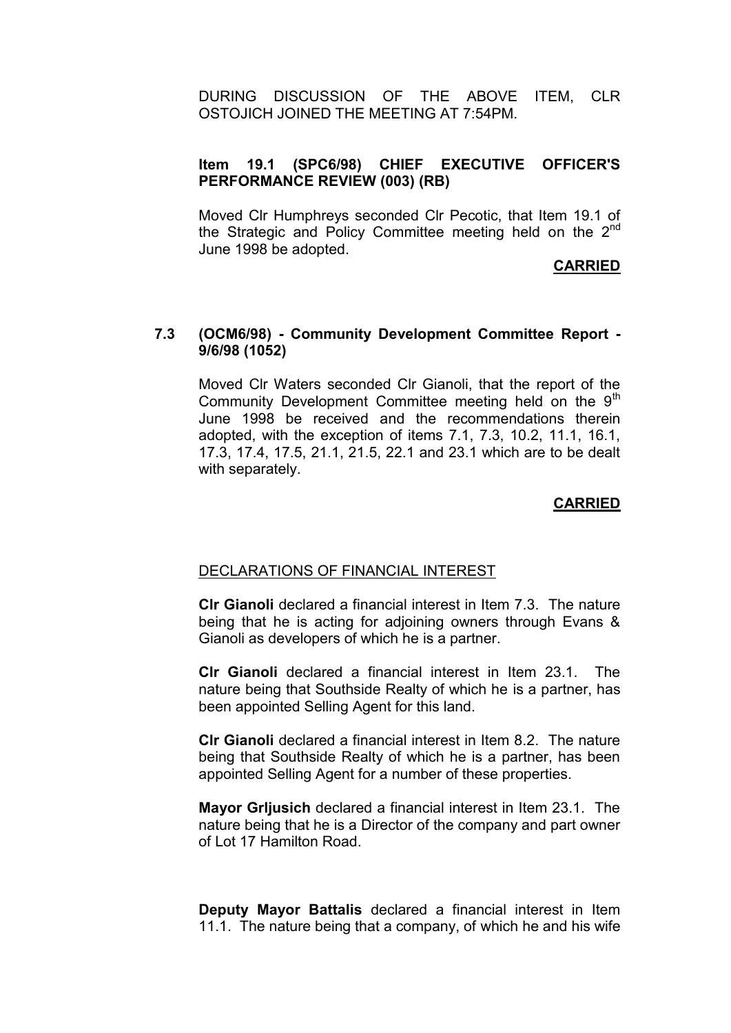DURING DISCUSSION OF THE ABOVE ITEM, CLR OSTOJICH JOINED THE MEETING AT 7:54PM.

## **Item 19.1 (SPC6/98) CHIEF EXECUTIVE OFFICER'S PERFORMANCE REVIEW (003) (RB)**

Moved Clr Humphreys seconded Clr Pecotic, that Item 19.1 of the Strategic and Policy Committee meeting held on the  $2^{nd}$ June 1998 be adopted.

#### **CARRIED**

#### **7.3 (OCM6/98) - Community Development Committee Report - 9/6/98 (1052)**

Moved Clr Waters seconded Clr Gianoli, that the report of the Community Development Committee meeting held on the  $9<sup>th</sup>$ June 1998 be received and the recommendations therein adopted, with the exception of items 7.1, 7.3, 10.2, 11.1, 16.1, 17.3, 17.4, 17.5, 21.1, 21.5, 22.1 and 23.1 which are to be dealt with separately.

#### **CARRIED**

#### DECLARATIONS OF FINANCIAL INTEREST

**Clr Gianoli** declared a financial interest in Item 7.3. The nature being that he is acting for adjoining owners through Evans & Gianoli as developers of which he is a partner.

**Clr Gianoli** declared a financial interest in Item 23.1. The nature being that Southside Realty of which he is a partner, has been appointed Selling Agent for this land.

**Clr Gianoli** declared a financial interest in Item 8.2. The nature being that Southside Realty of which he is a partner, has been appointed Selling Agent for a number of these properties.

**Mayor Grljusich** declared a financial interest in Item 23.1. The nature being that he is a Director of the company and part owner of Lot 17 Hamilton Road.

**Deputy Mayor Battalis** declared a financial interest in Item 11.1. The nature being that a company, of which he and his wife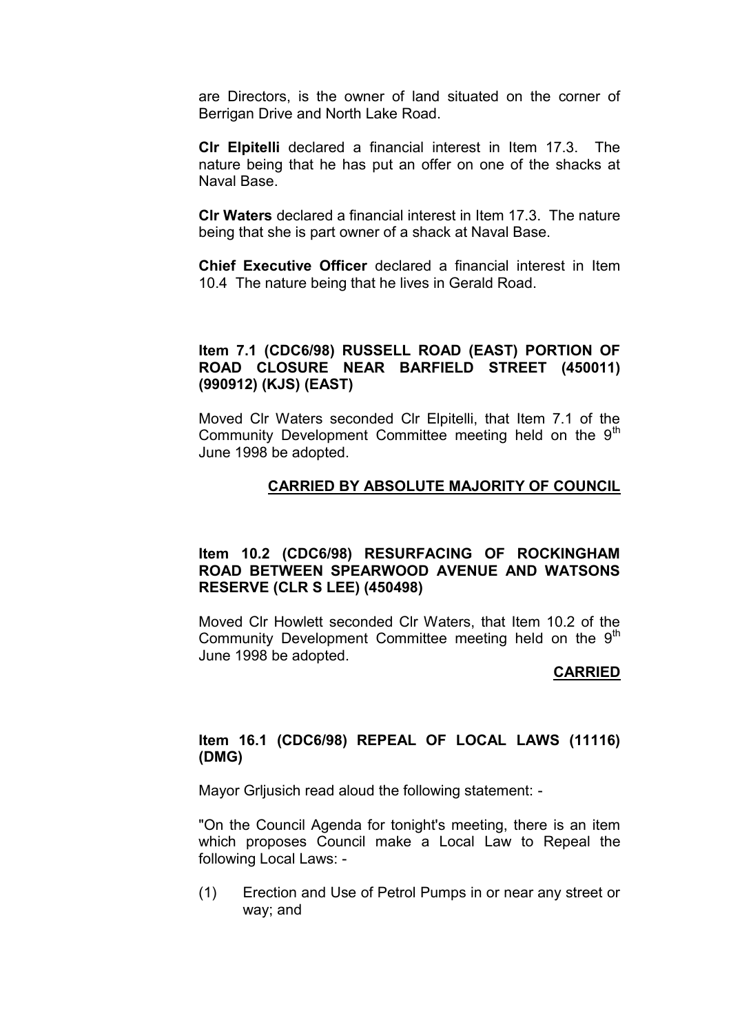are Directors, is the owner of land situated on the corner of Berrigan Drive and North Lake Road.

**Clr Elpitelli** declared a financial interest in Item 17.3. The nature being that he has put an offer on one of the shacks at Naval Base.

**Clr Waters** declared a financial interest in Item 17.3. The nature being that she is part owner of a shack at Naval Base.

**Chief Executive Officer** declared a financial interest in Item 10.4 The nature being that he lives in Gerald Road.

#### **Item 7.1 (CDC6/98) RUSSELL ROAD (EAST) PORTION OF ROAD CLOSURE NEAR BARFIELD STREET (450011) (990912) (KJS) (EAST)**

Moved Clr Waters seconded Clr Elpitelli, that Item 7.1 of the Community Development Committee meeting held on the 9<sup>th</sup> June 1998 be adopted.

#### **CARRIED BY ABSOLUTE MAJORITY OF COUNCIL**

#### **Item 10.2 (CDC6/98) RESURFACING OF ROCKINGHAM ROAD BETWEEN SPEARWOOD AVENUE AND WATSONS RESERVE (CLR S LEE) (450498)**

Moved Clr Howlett seconded Clr Waters, that Item 10.2 of the Community Development Committee meeting held on the  $9<sup>th</sup>$ June 1998 be adopted.

#### **CARRIED**

#### **Item 16.1 (CDC6/98) REPEAL OF LOCAL LAWS (11116) (DMG)**

Mayor Grljusich read aloud the following statement: -

"On the Council Agenda for tonight's meeting, there is an item which proposes Council make a Local Law to Repeal the following Local Laws: -

(1) Erection and Use of Petrol Pumps in or near any street or way; and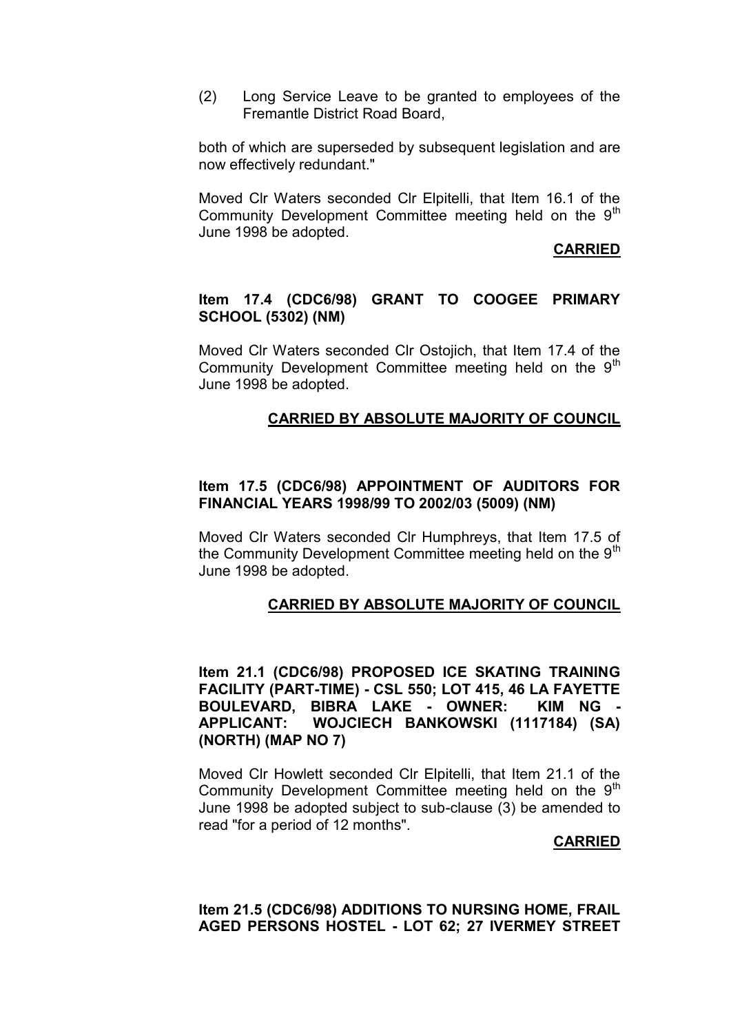(2) Long Service Leave to be granted to employees of the Fremantle District Road Board,

both of which are superseded by subsequent legislation and are now effectively redundant."

Moved Clr Waters seconded Clr Elpitelli, that Item 16.1 of the Community Development Committee meeting held on the  $9<sup>th</sup>$ June 1998 be adopted.

#### **CARRIED**

#### **Item 17.4 (CDC6/98) GRANT TO COOGEE PRIMARY SCHOOL (5302) (NM)**

Moved Clr Waters seconded Clr Ostojich, that Item 17.4 of the Community Development Committee meeting held on the 9<sup>th</sup> June 1998 be adopted.

#### **CARRIED BY ABSOLUTE MAJORITY OF COUNCIL**

#### **Item 17.5 (CDC6/98) APPOINTMENT OF AUDITORS FOR FINANCIAL YEARS 1998/99 TO 2002/03 (5009) (NM)**

Moved Clr Waters seconded Clr Humphreys, that Item 17.5 of the Community Development Committee meeting held on the  $9<sup>th</sup>$ June 1998 be adopted.

#### **CARRIED BY ABSOLUTE MAJORITY OF COUNCIL**

**Item 21.1 (CDC6/98) PROPOSED ICE SKATING TRAINING FACILITY (PART-TIME) - CSL 550; LOT 415, 46 LA FAYETTE BOULEVARD, BIBRA LAKE - OWNER: KIM NG - APPLICANT: WOJCIECH BANKOWSKI (1117184) (SA) (NORTH) (MAP NO 7)**

Moved Clr Howlett seconded Clr Elpitelli, that Item 21.1 of the Community Development Committee meeting held on the 9<sup>th</sup> June 1998 be adopted subject to sub-clause (3) be amended to read "for a period of 12 months".

#### **CARRIED**

#### **Item 21.5 (CDC6/98) ADDITIONS TO NURSING HOME, FRAIL AGED PERSONS HOSTEL - LOT 62; 27 IVERMEY STREET**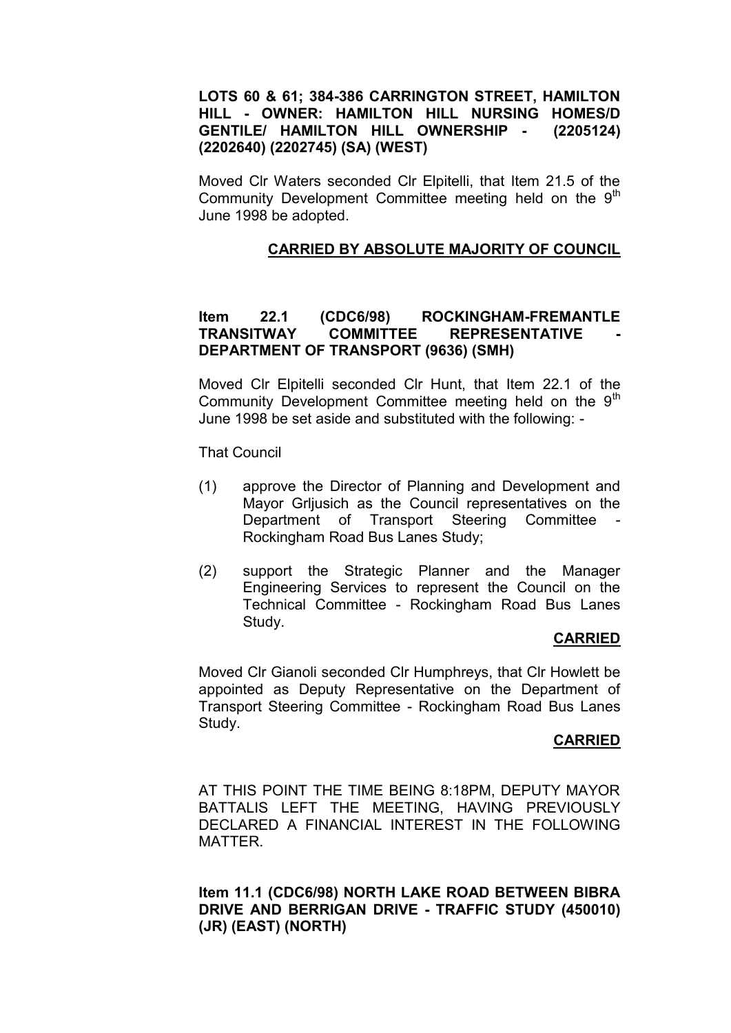#### **LOTS 60 & 61; 384-386 CARRINGTON STREET, HAMILTON HILL - OWNER: HAMILTON HILL NURSING HOMES/D GENTILE/ HAMILTON HILL OWNERSHIP - (2205124) (2202640) (2202745) (SA) (WEST)**

Moved Clr Waters seconded Clr Elpitelli, that Item 21.5 of the Community Development Committee meeting held on the 9<sup>th</sup> June 1998 be adopted.

## **CARRIED BY ABSOLUTE MAJORITY OF COUNCIL**

## **Item 22.1 (CDC6/98) ROCKINGHAM-FREMANTLE TRANSITWAY COMMITTEF REPRESENTATIVE DEPARTMENT OF TRANSPORT (9636) (SMH)**

Moved Clr Elpitelli seconded Clr Hunt, that Item 22.1 of the Community Development Committee meeting held on the  $9<sup>th</sup>$ June 1998 be set aside and substituted with the following: -

That Council

- (1) approve the Director of Planning and Development and Mayor Grljusich as the Council representatives on the Department of Transport Steering Committee Rockingham Road Bus Lanes Study;
- (2) support the Strategic Planner and the Manager Engineering Services to represent the Council on the Technical Committee - Rockingham Road Bus Lanes Study.

### **CARRIED**

Moved Clr Gianoli seconded Clr Humphreys, that Clr Howlett be appointed as Deputy Representative on the Department of Transport Steering Committee - Rockingham Road Bus Lanes Study.

### **CARRIED**

AT THIS POINT THE TIME BEING 8:18PM, DEPUTY MAYOR BATTALIS LEFT THE MEETING, HAVING PREVIOUSLY DECLARED A FINANCIAL INTEREST IN THE FOLLOWING MATTER.

**Item 11.1 (CDC6/98) NORTH LAKE ROAD BETWEEN BIBRA DRIVE AND BERRIGAN DRIVE - TRAFFIC STUDY (450010) (JR) (EAST) (NORTH)**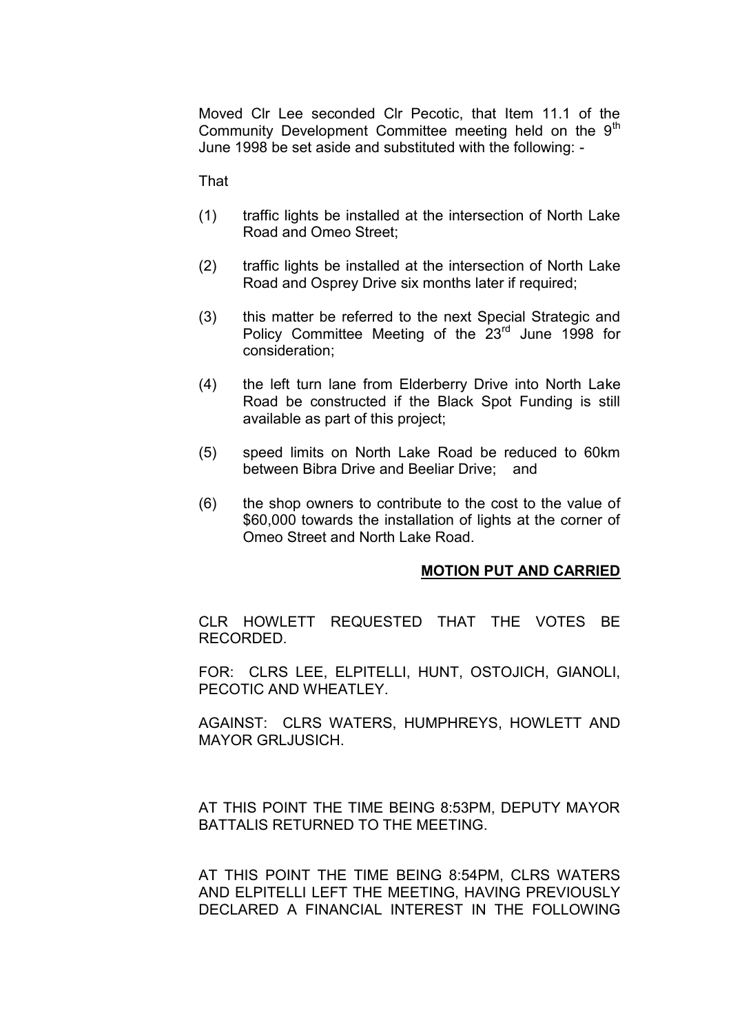Moved Clr Lee seconded Clr Pecotic, that Item 11.1 of the Community Development Committee meeting held on the 9<sup>th</sup> June 1998 be set aside and substituted with the following: -

That

- (1) traffic lights be installed at the intersection of North Lake Road and Omeo Street;
- (2) traffic lights be installed at the intersection of North Lake Road and Osprey Drive six months later if required;
- (3) this matter be referred to the next Special Strategic and Policy Committee Meeting of the 23<sup>rd</sup> June 1998 for consideration;
- (4) the left turn lane from Elderberry Drive into North Lake Road be constructed if the Black Spot Funding is still available as part of this project;
- (5) speed limits on North Lake Road be reduced to 60km between Bibra Drive and Beeliar Drive; and
- (6) the shop owners to contribute to the cost to the value of \$60,000 towards the installation of lights at the corner of Omeo Street and North Lake Road.

#### **MOTION PUT AND CARRIED**

CLR HOWLETT REQUESTED THAT THE VOTES BE RECORDED.

FOR: CLRS LEE, ELPITELLI, HUNT, OSTOJICH, GIANOLI, PECOTIC AND WHEATLEY.

AGAINST: CLRS WATERS, HUMPHREYS, HOWLETT AND MAYOR GRLJUSICH.

AT THIS POINT THE TIME BEING 8:53PM, DEPUTY MAYOR BATTALIS RETURNED TO THE MEETING.

AT THIS POINT THE TIME BEING 8:54PM, CLRS WATERS AND ELPITELLI LEFT THE MEETING, HAVING PREVIOUSLY DECLARED A FINANCIAL INTEREST IN THE FOLLOWING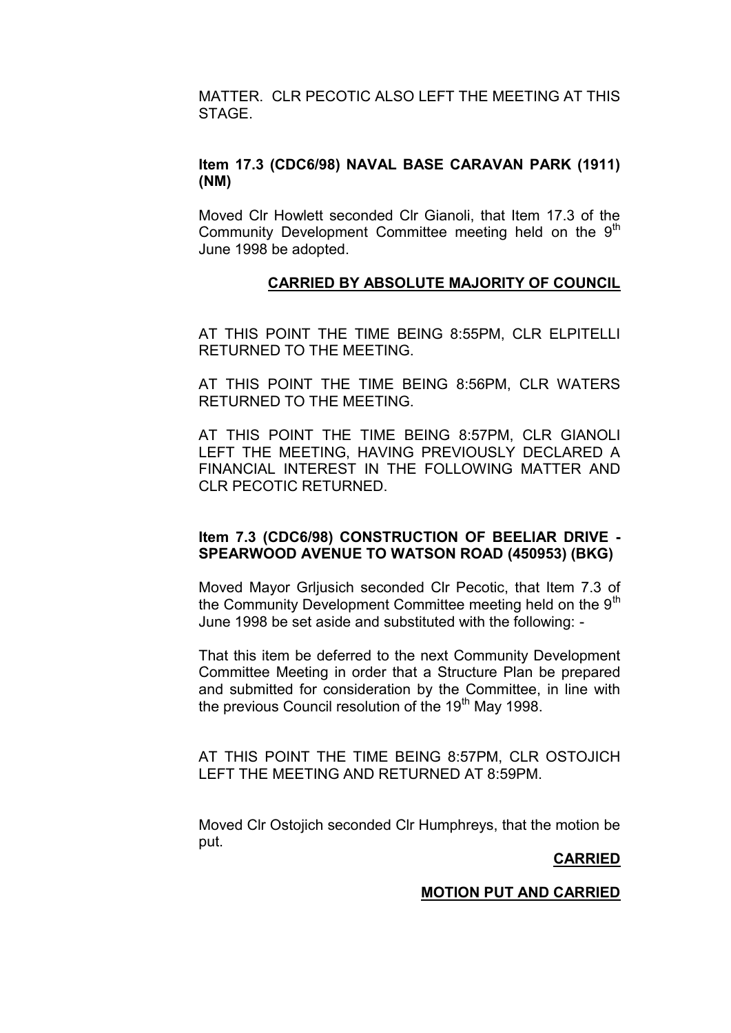MATTER. CLR PECOTIC ALSO LEFT THE MEETING AT THIS STAGE.

# **Item 17.3 (CDC6/98) NAVAL BASE CARAVAN PARK (1911) (NM)**

Moved Clr Howlett seconded Clr Gianoli, that Item 17.3 of the Community Development Committee meeting held on the 9<sup>th</sup> June 1998 be adopted.

### **CARRIED BY ABSOLUTE MAJORITY OF COUNCIL**

AT THIS POINT THE TIME BEING 8:55PM, CLR ELPITELLI RETURNED TO THE MEETING.

AT THIS POINT THE TIME BEING 8:56PM, CLR WATERS RETURNED TO THE MEETING.

AT THIS POINT THE TIME BEING 8:57PM, CLR GIANOLI LEFT THE MEETING, HAVING PREVIOUSLY DECLARED A FINANCIAL INTEREST IN THE FOLLOWING MATTER AND CLR PECOTIC RETURNED.

### **Item 7.3 (CDC6/98) CONSTRUCTION OF BEELIAR DRIVE - SPEARWOOD AVENUE TO WATSON ROAD (450953) (BKG)**

Moved Mayor Grljusich seconded Clr Pecotic, that Item 7.3 of the Community Development Committee meeting held on the  $9<sup>th</sup>$ June 1998 be set aside and substituted with the following: -

That this item be deferred to the next Community Development Committee Meeting in order that a Structure Plan be prepared and submitted for consideration by the Committee, in line with the previous Council resolution of the 19<sup>th</sup> May 1998.

AT THIS POINT THE TIME BEING 8:57PM, CLR OSTOJICH LEFT THE MEETING AND RETURNED AT 8:59PM.

Moved Clr Ostojich seconded Clr Humphreys, that the motion be put.

### **CARRIED**

### **MOTION PUT AND CARRIED**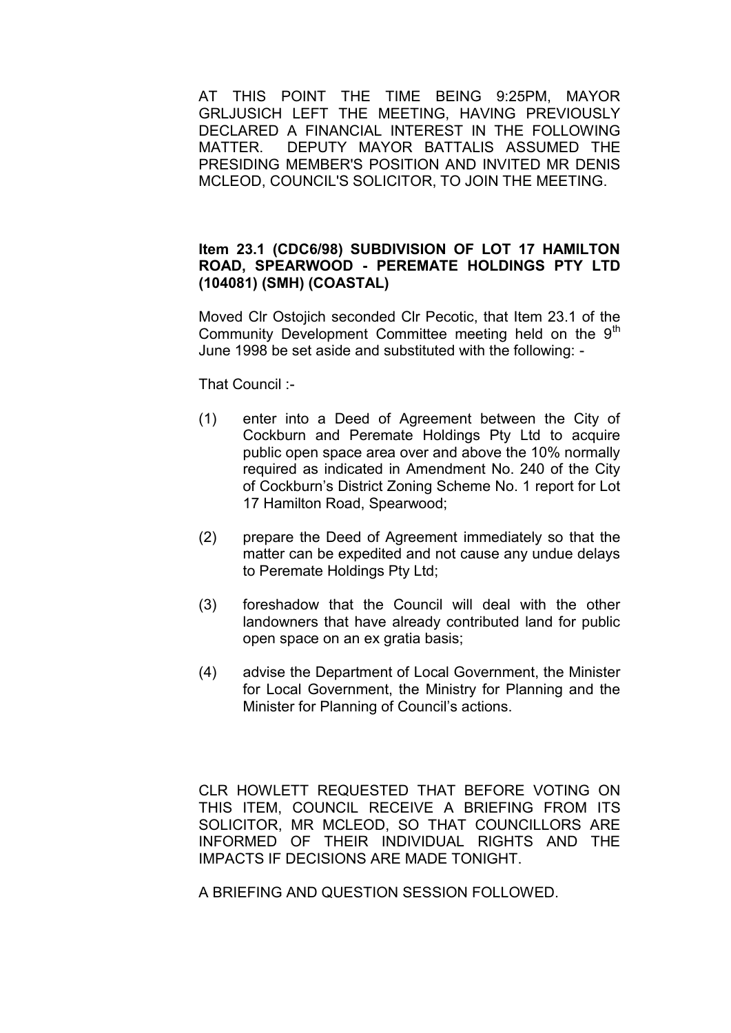AT THIS POINT THE TIME BEING 9:25PM, MAYOR GRLJUSICH LEFT THE MEETING, HAVING PREVIOUSLY DECLARED A FINANCIAL INTEREST IN THE FOLLOWING MATTER. DEPUTY MAYOR BATTALIS ASSUMED THE PRESIDING MEMBER'S POSITION AND INVITED MR DENIS MCLEOD, COUNCIL'S SOLICITOR, TO JOIN THE MEETING.

#### **Item 23.1 (CDC6/98) SUBDIVISION OF LOT 17 HAMILTON ROAD, SPEARWOOD - PEREMATE HOLDINGS PTY LTD (104081) (SMH) (COASTAL)**

Moved Clr Ostojich seconded Clr Pecotic, that Item 23.1 of the Community Development Committee meeting held on the  $9<sup>th</sup>$ June 1998 be set aside and substituted with the following: -

That Council :-

- (1) enter into a Deed of Agreement between the City of Cockburn and Peremate Holdings Pty Ltd to acquire public open space area over and above the 10% normally required as indicated in Amendment No. 240 of the City of Cockburn's District Zoning Scheme No. 1 report for Lot 17 Hamilton Road, Spearwood;
- (2) prepare the Deed of Agreement immediately so that the matter can be expedited and not cause any undue delays to Peremate Holdings Pty Ltd;
- (3) foreshadow that the Council will deal with the other landowners that have already contributed land for public open space on an ex gratia basis;
- (4) advise the Department of Local Government, the Minister for Local Government, the Ministry for Planning and the Minister for Planning of Council's actions.

CLR HOWLETT REQUESTED THAT BEFORE VOTING ON THIS ITEM, COUNCIL RECEIVE A BRIEFING FROM ITS SOLICITOR, MR MCLEOD, SO THAT COUNCILLORS ARE INFORMED OF THEIR INDIVIDUAL RIGHTS AND THE IMPACTS IF DECISIONS ARE MADE TONIGHT.

A BRIEFING AND QUESTION SESSION FOLLOWED.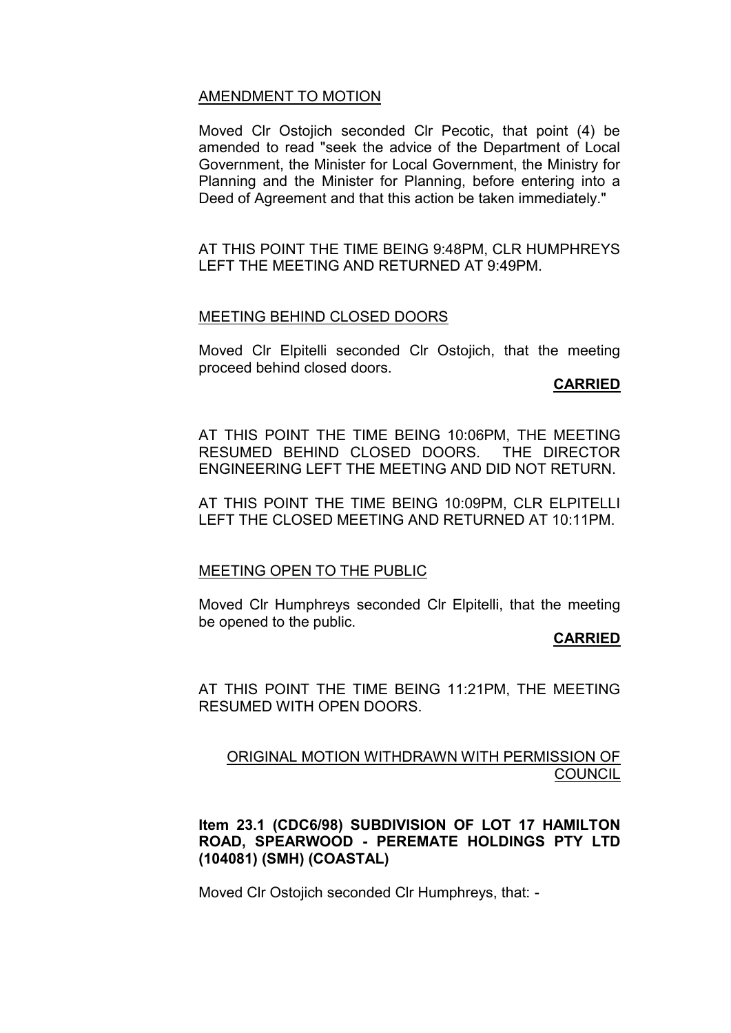#### AMENDMENT TO MOTION

Moved Clr Ostojich seconded Clr Pecotic, that point (4) be amended to read "seek the advice of the Department of Local Government, the Minister for Local Government, the Ministry for Planning and the Minister for Planning, before entering into a Deed of Agreement and that this action be taken immediately."

AT THIS POINT THE TIME BEING 9:48PM, CLR HUMPHREYS LEFT THE MEETING AND RETURNED AT 9:49PM.

#### MEETING BEHIND CLOSED DOORS

Moved Clr Elpitelli seconded Clr Ostojich, that the meeting proceed behind closed doors.

#### **CARRIED**

AT THIS POINT THE TIME BEING 10:06PM, THE MEETING RESUMED BEHIND CLOSED DOORS. THE DIRECTOR ENGINEERING LEFT THE MEETING AND DID NOT RETURN.

AT THIS POINT THE TIME BEING 10:09PM, CLR ELPITELLI LEFT THE CLOSED MEETING AND RETURNED AT 10:11PM.

#### MEETING OPEN TO THE PUBLIC

Moved Clr Humphreys seconded Clr Elpitelli, that the meeting be opened to the public.

#### **CARRIED**

AT THIS POINT THE TIME BEING 11:21PM, THE MEETING RESUMED WITH OPEN DOORS.

## ORIGINAL MOTION WITHDRAWN WITH PERMISSION OF **COUNCIL**

### **Item 23.1 (CDC6/98) SUBDIVISION OF LOT 17 HAMILTON ROAD, SPEARWOOD - PEREMATE HOLDINGS PTY LTD (104081) (SMH) (COASTAL)**

Moved Clr Ostojich seconded Clr Humphreys, that: -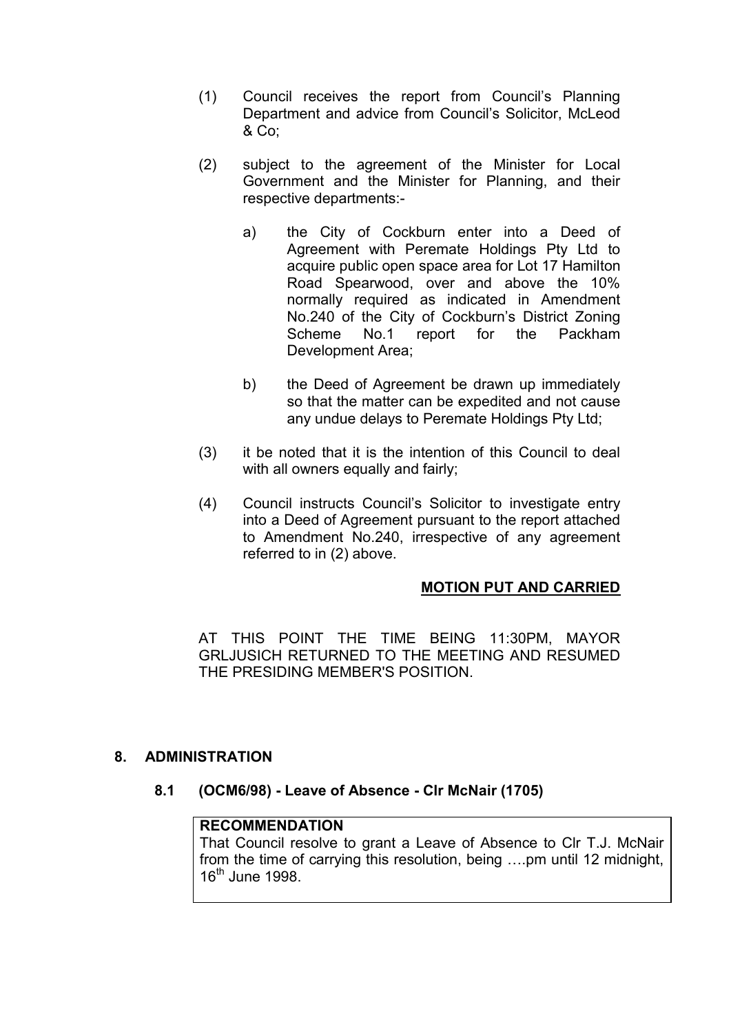- (1) Council receives the report from Council's Planning Department and advice from Council's Solicitor, McLeod & Co;
- (2) subject to the agreement of the Minister for Local Government and the Minister for Planning, and their respective departments:
	- a) the City of Cockburn enter into a Deed of Agreement with Peremate Holdings Pty Ltd to acquire public open space area for Lot 17 Hamilton Road Spearwood, over and above the 10% normally required as indicated in Amendment No.240 of the City of Cockburn's District Zoning Scheme No.1 report for the Packham Development Area;
	- b) the Deed of Agreement be drawn up immediately so that the matter can be expedited and not cause any undue delays to Peremate Holdings Pty Ltd;
- (3) it be noted that it is the intention of this Council to deal with all owners equally and fairly;
- (4) Council instructs Council's Solicitor to investigate entry into a Deed of Agreement pursuant to the report attached to Amendment No.240, irrespective of any agreement referred to in (2) above.

# **MOTION PUT AND CARRIED**

AT THIS POINT THE TIME BEING 11:30PM, MAYOR GRLJUSICH RETURNED TO THE MEETING AND RESUMED THE PRESIDING MEMBER'S POSITION.

### **8. ADMINISTRATION**

**8.1 (OCM6/98) - Leave of Absence - Clr McNair (1705)**

## **RECOMMENDATION**

That Council resolve to grant a Leave of Absence to Clr T.J. McNair from the time of carrying this resolution, being ….pm until 12 midnight,  $16^{\text{th}}$  June 1998.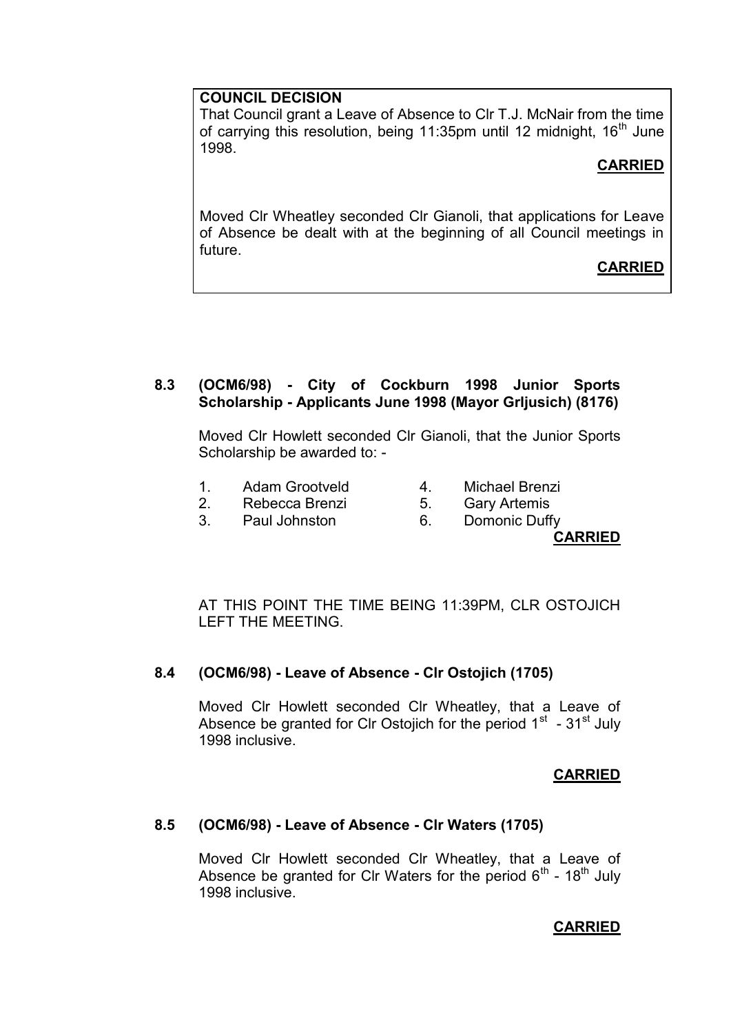## **COUNCIL DECISION**

That Council grant a Leave of Absence to Clr T.J. McNair from the time of carrying this resolution, being 11:35pm until 12 midnight,  $16<sup>th</sup>$  June 1998.

# **CARRIED**

Moved Clr Wheatley seconded Clr Gianoli, that applications for Leave of Absence be dealt with at the beginning of all Council meetings in future.

# **CARRIED**

# **8.3 (OCM6/98) - City of Cockburn 1998 Junior Sports Scholarship - Applicants June 1998 (Mayor Grljusich) (8176)**

Moved Clr Howlett seconded Clr Gianoli, that the Junior Sports Scholarship be awarded to: -

- 1. Adam Grootveld 1. Adam Grootveld 2. Nichael Brenzi<br>
2. Rebecca Brenzi 5. Gary Artemis<br>
3. Paul Johnston 6. Domonic Duffy
	-
- 2. Rebecca Brenzi 5. Gary Artemis
	-
- 3. Paul Johnston 6. Domonic Duffy
	- **CARRIED**

AT THIS POINT THE TIME BEING 11:39PM, CLR OSTOJICH LEFT THE MEETING.

# **8.4 (OCM6/98) - Leave of Absence - Clr Ostojich (1705)**

Moved Clr Howlett seconded Clr Wheatley, that a Leave of Absence be granted for CIr Ostojich for the period  $1<sup>st</sup>$  - 31 $<sup>st</sup>$  July</sup> 1998 inclusive.

# **CARRIED**

# **8.5 (OCM6/98) - Leave of Absence - Clr Waters (1705)**

Moved Clr Howlett seconded Clr Wheatley, that a Leave of Absence be granted for CIr Waters for the period  $6<sup>th</sup>$  - 18<sup>th</sup> July 1998 inclusive.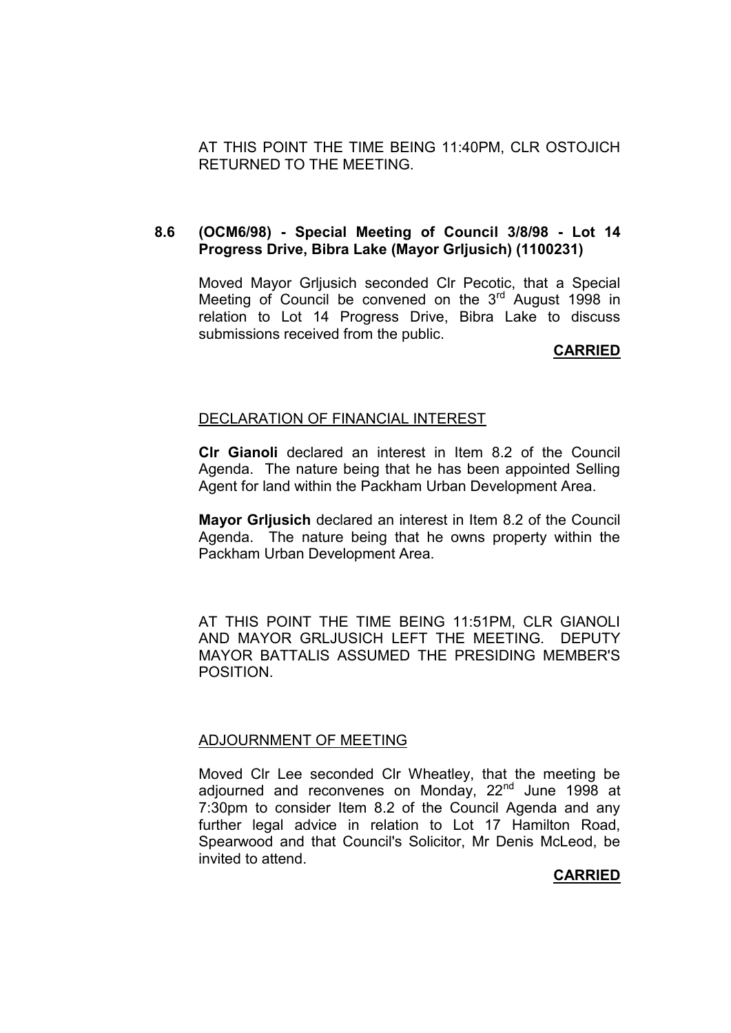AT THIS POINT THE TIME BEING 11:40PM, CLR OSTOJICH RETURNED TO THE MEETING.

#### **8.6 (OCM6/98) - Special Meeting of Council 3/8/98 - Lot 14 Progress Drive, Bibra Lake (Mayor Grljusich) (1100231)**

Moved Mayor Grljusich seconded Clr Pecotic, that a Special Meeting of Council be convened on the 3<sup>rd</sup> August 1998 in relation to Lot 14 Progress Drive, Bibra Lake to discuss submissions received from the public.

### **CARRIED**

#### DECLARATION OF FINANCIAL INTEREST

**Clr Gianoli** declared an interest in Item 8.2 of the Council Agenda. The nature being that he has been appointed Selling Agent for land within the Packham Urban Development Area.

**Mayor Grljusich** declared an interest in Item 8.2 of the Council Agenda. The nature being that he owns property within the Packham Urban Development Area.

AT THIS POINT THE TIME BEING 11:51PM, CLR GIANOLI AND MAYOR GRLJUSICH LEFT THE MEETING. DEPUTY MAYOR BATTALIS ASSUMED THE PRESIDING MEMBER'S POSITION.

#### ADJOURNMENT OF MEETING

Moved Clr Lee seconded Clr Wheatley, that the meeting be adjourned and reconvenes on Monday, 22<sup>nd</sup> June 1998 at 7:30pm to consider Item 8.2 of the Council Agenda and any further legal advice in relation to Lot 17 Hamilton Road, Spearwood and that Council's Solicitor, Mr Denis McLeod, be invited to attend.